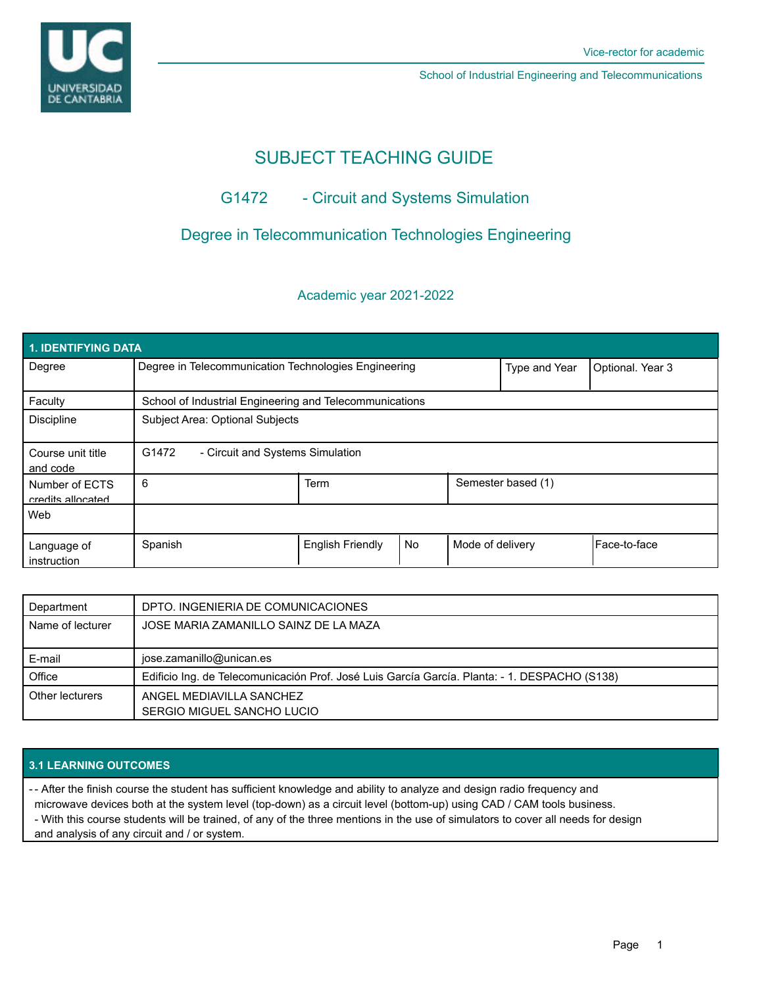

# SUBJECT TEACHING GUIDE

## G1472 - Circuit and Systems Simulation

## Degree in Telecommunication Technologies Engineering

### Academic year 2021-2022

| <b>1. IDENTIFYING DATA</b>          |                                                         |                         |           |                    |                  |                |  |  |
|-------------------------------------|---------------------------------------------------------|-------------------------|-----------|--------------------|------------------|----------------|--|--|
| Degree                              | Degree in Telecommunication Technologies Engineering    |                         |           | Type and Year      | Optional. Year 3 |                |  |  |
| Faculty                             | School of Industrial Engineering and Telecommunications |                         |           |                    |                  |                |  |  |
| <b>Discipline</b>                   | Subject Area: Optional Subjects                         |                         |           |                    |                  |                |  |  |
| Course unit title<br>and code       | G1472<br>- Circuit and Systems Simulation               |                         |           |                    |                  |                |  |  |
| Number of ECTS<br>credits allocated | 6                                                       | <b>Term</b>             |           | Semester based (1) |                  |                |  |  |
| Web                                 |                                                         |                         |           |                    |                  |                |  |  |
| Language of<br>instruction          | Spanish                                                 | <b>English Friendly</b> | <b>No</b> | Mode of delivery   |                  | l Face-to-face |  |  |

| Department       | DPTO. INGENIERIA DE COMUNICACIONES                                                            |
|------------------|-----------------------------------------------------------------------------------------------|
| Name of lecturer | JOSE MARIA ZAMANILLO SAINZ DE LA MAZA                                                         |
|                  |                                                                                               |
| E-mail           | jose.zamanillo@unican.es                                                                      |
| Office           | Edificio Ing. de Telecomunicación Prof. José Luis García García. Planta: - 1. DESPACHO (S138) |
| Other lecturers  | ANGEL MEDIAVILLA SANCHEZ                                                                      |
|                  | SERGIO MIGUEL SANCHO LUCIO                                                                    |

### **3.1 LEARNING OUTCOMES**

- After the finish course the student has sufficient knowledge and ability to analyze and design radio frequency and -

microwave devices both at the system level (top-down) as a circuit level (bottom-up) using CAD / CAM tools business.

- With this course students will be trained, of any of the three mentions in the use of simulators to cover all needs for design and analysis of any circuit and / or system.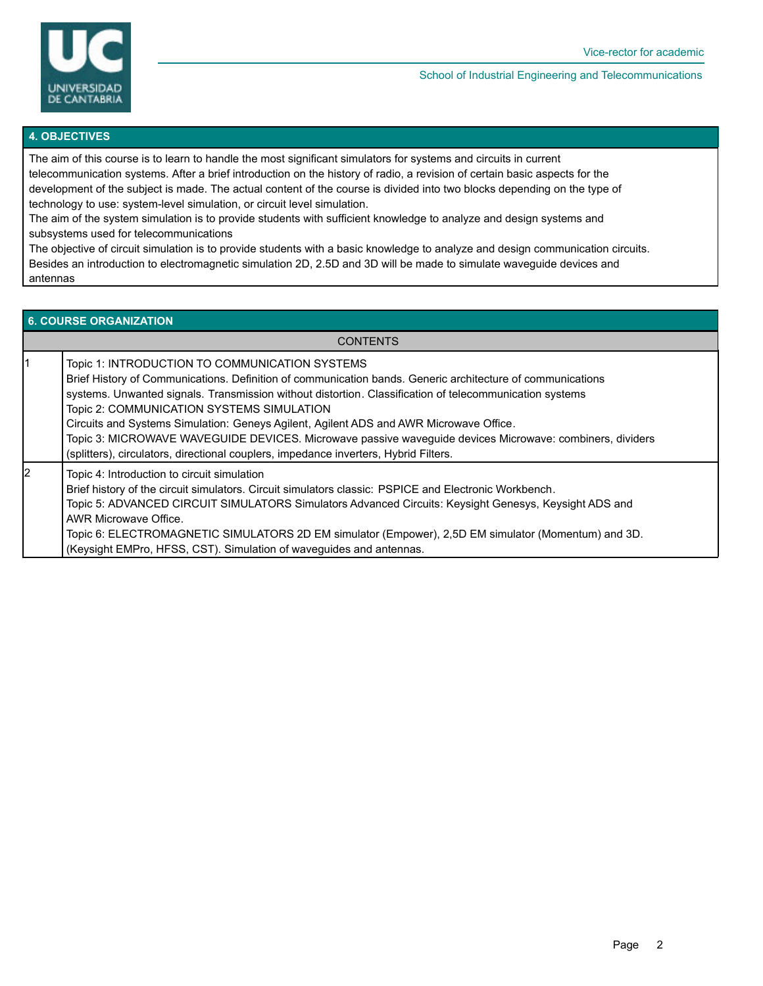

#### **4. OBJECTIVES**

The aim of this course is to learn to handle the most significant simulators for systems and circuits in current telecommunication systems. After a brief introduction on the history of radio, a revision of certain basic aspects for the development of the subject is made. The actual content of the course is divided into two blocks depending on the type of technology to use: system-level simulation, or circuit level simulation.

The aim of the system simulation is to provide students with sufficient knowledge to analyze and design systems and subsystems used for telecommunications

The objective of circuit simulation is to provide students with a basic knowledge to analyze and design communication circuits. Besides an introduction to electromagnetic simulation 2D, 2.5D and 3D will be made to simulate waveguide devices and antennas

#### **6. COURSE ORGANIZATION**

**CONTENTS** 

| 1 | Topic 1: INTRODUCTION TO COMMUNICATION SYSTEMS<br>Brief History of Communications. Definition of communication bands. Generic architecture of communications<br>systems. Unwanted signals. Transmission without distortion. Classification of telecommunication systems<br>Topic 2: COMMUNICATION SYSTEMS SIMULATION<br>Circuits and Systems Simulation: Geneys Agilent, Agilent ADS and AWR Microwave Office.<br>Topic 3: MICROWAVE WAVEGUIDE DEVICES. Microwave passive waveguide devices Microwave: combiners, dividers<br>(splitters), circulators, directional couplers, impedance inverters, Hybrid Filters. |
|---|--------------------------------------------------------------------------------------------------------------------------------------------------------------------------------------------------------------------------------------------------------------------------------------------------------------------------------------------------------------------------------------------------------------------------------------------------------------------------------------------------------------------------------------------------------------------------------------------------------------------|
| 2 | Topic 4: Introduction to circuit simulation<br>Brief history of the circuit simulators. Circuit simulators classic: PSPICE and Electronic Workbench.<br>Topic 5: ADVANCED CIRCUIT SIMULATORS Simulators Advanced Circuits: Keysight Genesys, Keysight ADS and<br>AWR Microwave Office.<br>Topic 6: ELECTROMAGNETIC SIMULATORS 2D EM simulator (Empower), 2,5D EM simulator (Momentum) and 3D.<br>(Keysight EMPro, HFSS, CST). Simulation of waveguides and antennas.                                                                                                                                               |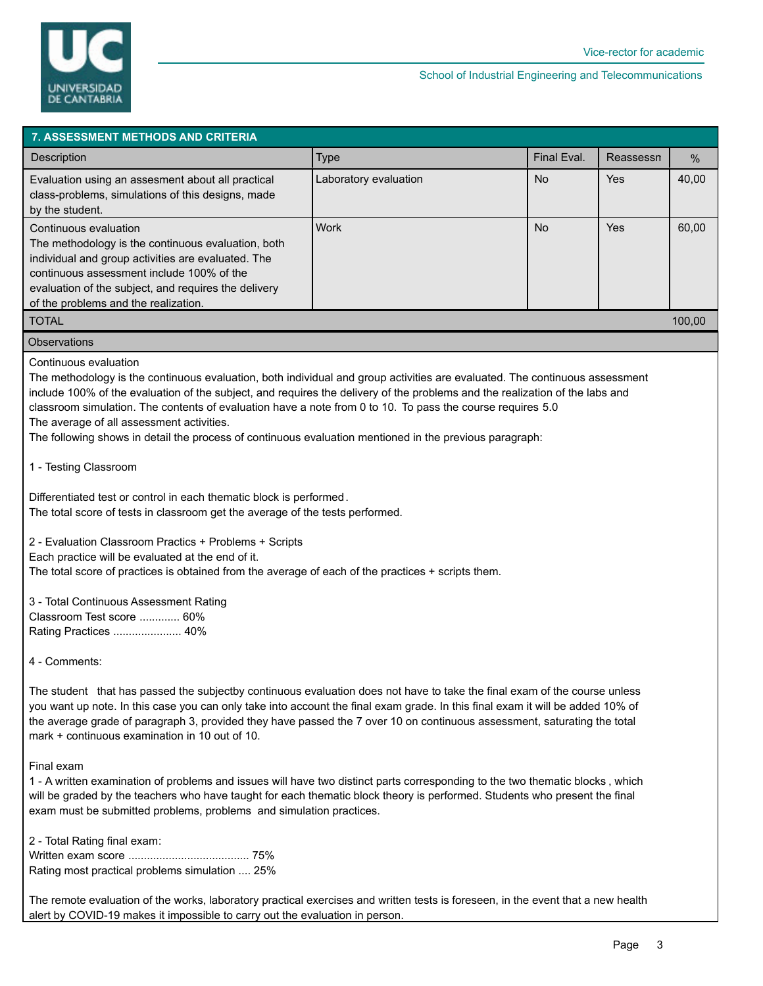

| Final Eval.<br><b>Type</b><br>Reassessn<br><b>Description</b>                                                                                                                                                                                                                                                     | $\%$   |
|-------------------------------------------------------------------------------------------------------------------------------------------------------------------------------------------------------------------------------------------------------------------------------------------------------------------|--------|
| <b>No</b><br>Yes<br>Laboratory evaluation<br>Evaluation using an assesment about all practical<br>class-problems, simulations of this designs, made<br>by the student.                                                                                                                                            | 40,00  |
| <b>Work</b><br><b>No</b><br>Yes<br>Continuous evaluation<br>The methodology is the continuous evaluation, both<br>individual and group activities are evaluated. The<br>continuous assessment include 100% of the<br>evaluation of the subject, and requires the delivery<br>of the problems and the realization. | 60,00  |
| <b>TOTAL</b>                                                                                                                                                                                                                                                                                                      | 100.00 |

#### **Observations**

Continuous evaluation

The methodology is the continuous evaluation, both individual and group activities are evaluated. The continuous assessment include 100% of the evaluation of the subject, and requires the delivery of the problems and the realization of the labs and classroom simulation. The contents of evaluation have a note from 0 to 10. To pass the course requires 5.0 The average of all assessment activities.

The following shows in detail the process of continuous evaluation mentioned in the previous paragraph:

1 - Testing Classroom

Differentiated test or control in each thematic block is performed. The total score of tests in classroom get the average of the tests performed.

2 - Evaluation Classroom Practics + Problems + Scripts

Each practice will be evaluated at the end of it.

The total score of practices is obtained from the average of each of the practices + scripts them.

3 - Total Continuous Assessment Rating Classroom Test score ............. 60% Rating Practices ...................... 40%

4 - Comments:

The student that has passed the subjectby continuous evaluation does not have to take the final exam of the course unless you want up note. In this case you can only take into account the final exam grade. In this final exam it will be added 10% of the average grade of paragraph 3, provided they have passed the 7 over 10 on continuous assessment, saturating the total mark + continuous examination in 10 out of 10.

#### Final exam

1 - A written examination of problems and issues will have two distinct parts corresponding to the two thematic blocks , which will be graded by the teachers who have taught for each thematic block theory is performed. Students who present the final exam must be submitted problems, problems and simulation practices.

2 - Total Rating final exam:

Written exam score ....................................... 75% Rating most practical problems simulation .... 25%

The remote evaluation of the works, laboratory practical exercises and written tests is foreseen, in the event that a new health alert by COVID-19 makes it impossible to carry out the evaluation in person.